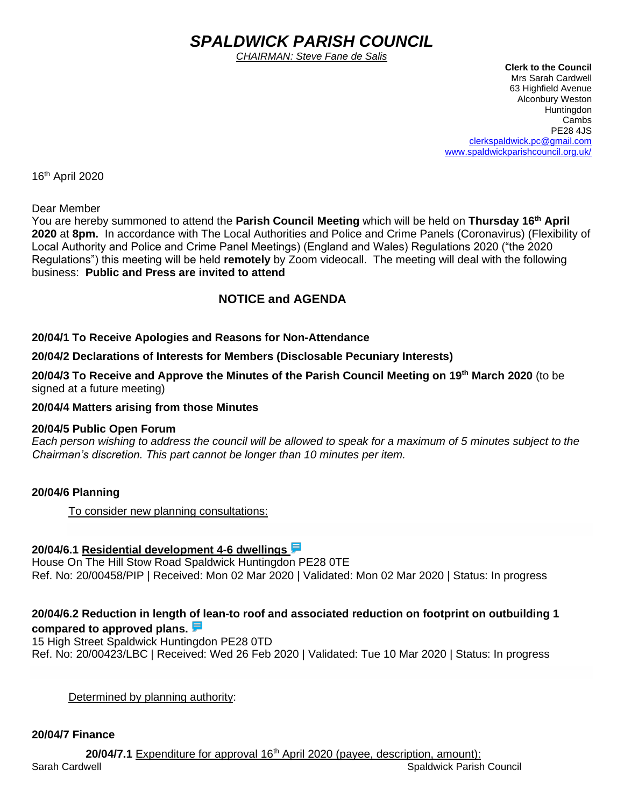# *SPALDWICK PARISH COUNCIL*

*CHAIRMAN: Steve Fane de Salis*

 **Clerk to the Council** Mrs Sarah Cardwell 63 Highfield Avenue Alconbury Weston **Huntingdon** Cambs PE28 4JS [clerkspaldwick.pc@gmail.com](mailto:clerkspaldwick.pc@gmail.com) [www.spaldwickparishcouncil.org.uk/](http://www.spaldwickparishcouncil.org.uk/)

16 th April 2020

Dear Member

You are hereby summoned to attend the **Parish Council Meeting** which will be held on **Thursday 16 th April 2020** at **8pm.** In accordance with The Local Authorities and Police and Crime Panels (Coronavirus) (Flexibility of Local Authority and Police and Crime Panel Meetings) (England and Wales) Regulations 2020 ("the 2020 Regulations") this meeting will be held **remotely** by Zoom videocall. The meeting will deal with the following business: **Public and Press are invited to attend**

# **NOTICE and AGENDA**

#### **20/04/1 To Receive Apologies and Reasons for Non-Attendance**

**20/04/2 Declarations of Interests for Members (Disclosable Pecuniary Interests)**

**20/04/3 To Receive and Approve the Minutes of the Parish Council Meeting on 19th March 2020** (to be signed at a future meeting)

**20/04/4 Matters arising from those Minutes**

#### **20/04/5 Public Open Forum**

*Each person wishing to address the council will be allowed to speak for a maximum of 5 minutes subject to the Chairman's discretion. This part cannot be longer than 10 minutes per item.* 

#### **20/04/6 Planning**

To consider new planning consultations:

#### **20/04/6.1 [Residential development 4-6 dwellings](https://publicaccess.huntingdonshire.gov.uk/online-applications/applicationDetails.do?keyVal=Q6M1FTIK0DP00&activeTab=summary)**

House On The Hill Stow Road Spaldwick Huntingdon PE28 0TE Ref. No: 20/00458/PIP | Received: Mon 02 Mar 2020 | Validated: Mon 02 Mar 2020 | Status: In progress

## **20/04/6.2 Reduction in length of lean-to roof and associated reduction on footprint on outbuilding 1 compared to approved plans.**

15 High Street Spaldwick Huntingdon PE28 0TD Ref. No: 20/00423/LBC | Received: Wed 26 Feb 2020 | Validated: Tue 10 Mar 2020 | Status: In progress

Determined by planning authority:

#### **20/04/7 Finance**

Sarah Cardwell Sarah Cardwell Spaldwick Parish Council Spaldwick Parish Council 20/04/7.1 Expenditure for approval 16<sup>th</sup> April 2020 (payee, description, amount):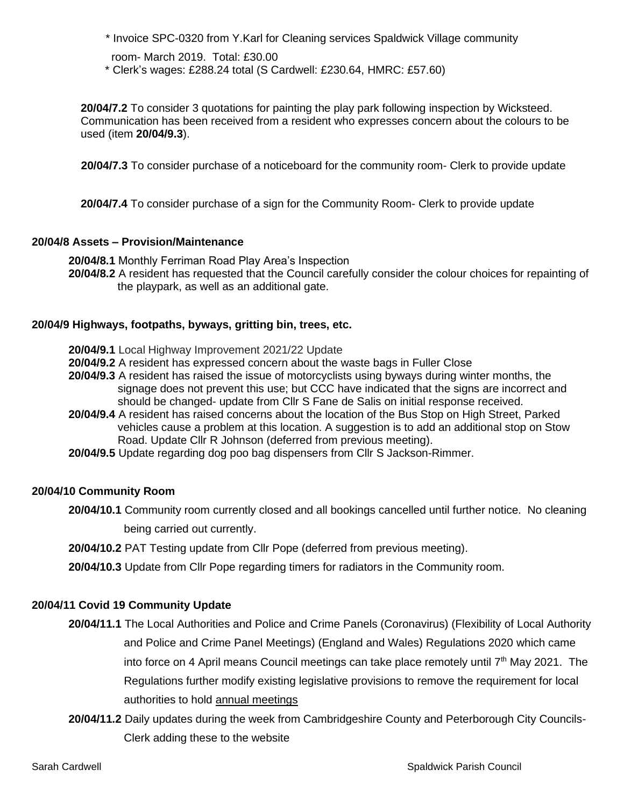\* Invoice SPC-0320 from Y.Karl for Cleaning services Spaldwick Village community

room- March 2019. Total: £30.00

\* Clerk's wages: £288.24 total (S Cardwell: £230.64, HMRC: £57.60)

**20/04/7.2** To consider 3 quotations for painting the play park following inspection by Wicksteed. Communication has been received from a resident who expresses concern about the colours to be used (item **20/04/9.3**).

 **20/04/7.3** To consider purchase of a noticeboard for the community room- Clerk to provide update

**20/04/7.4** To consider purchase of a sign for the Community Room- Clerk to provide update

#### **20/04/8 Assets – Provision/Maintenance**

**20/04/8.1** Monthly Ferriman Road Play Area's Inspection **20/04/8.2** A resident has requested that the Council carefully consider the colour choices for repainting of the playpark, as well as an additional gate.

#### **20/04/9 Highways, footpaths, byways, gritting bin, trees, etc.**

- **20/04/9.1** Local Highway Improvement 2021/22 Update
- **20/04/9.2** A resident has expressed concern about the waste bags in Fuller Close
- **20/04/9.3** A resident has raised the issue of motorcyclists using byways during winter months, the signage does not prevent this use; but CCC have indicated that the signs are incorrect and should be changed- update from Cllr S Fane de Salis on initial response received.
- **20/04/9.4** A resident has raised concerns about the location of the Bus Stop on High Street, Parked vehicles cause a problem at this location. A suggestion is to add an additional stop on Stow Road. Update Cllr R Johnson (deferred from previous meeting).
- **20/04/9.5** Update regarding dog poo bag dispensers from Cllr S Jackson-Rimmer.

#### **20/04/10 Community Room**

- **20/04/10.1** Community room currently closed and all bookings cancelled until further notice. No cleaning being carried out currently.
- **20/04/10.2** PAT Testing update from Cllr Pope (deferred from previous meeting).
- **20/04/10.3** Update from Cllr Pope regarding timers for radiators in the Community room.

# **20/04/11 Covid 19 Community Update**

- **20/04/11.1** The Local Authorities and Police and Crime Panels (Coronavirus) (Flexibility of Local Authority and Police and Crime Panel Meetings) (England and Wales) Regulations 2020 which came into force on 4 April means Council meetings can take place remotely until  $7<sup>th</sup>$  May 2021. The Regulations further modify existing legislative provisions to remove the requirement for local authorities to hold annual meetings
- **20/04/11.2** Daily updates during the week from Cambridgeshire County and Peterborough City Councils- Clerk adding these to the website